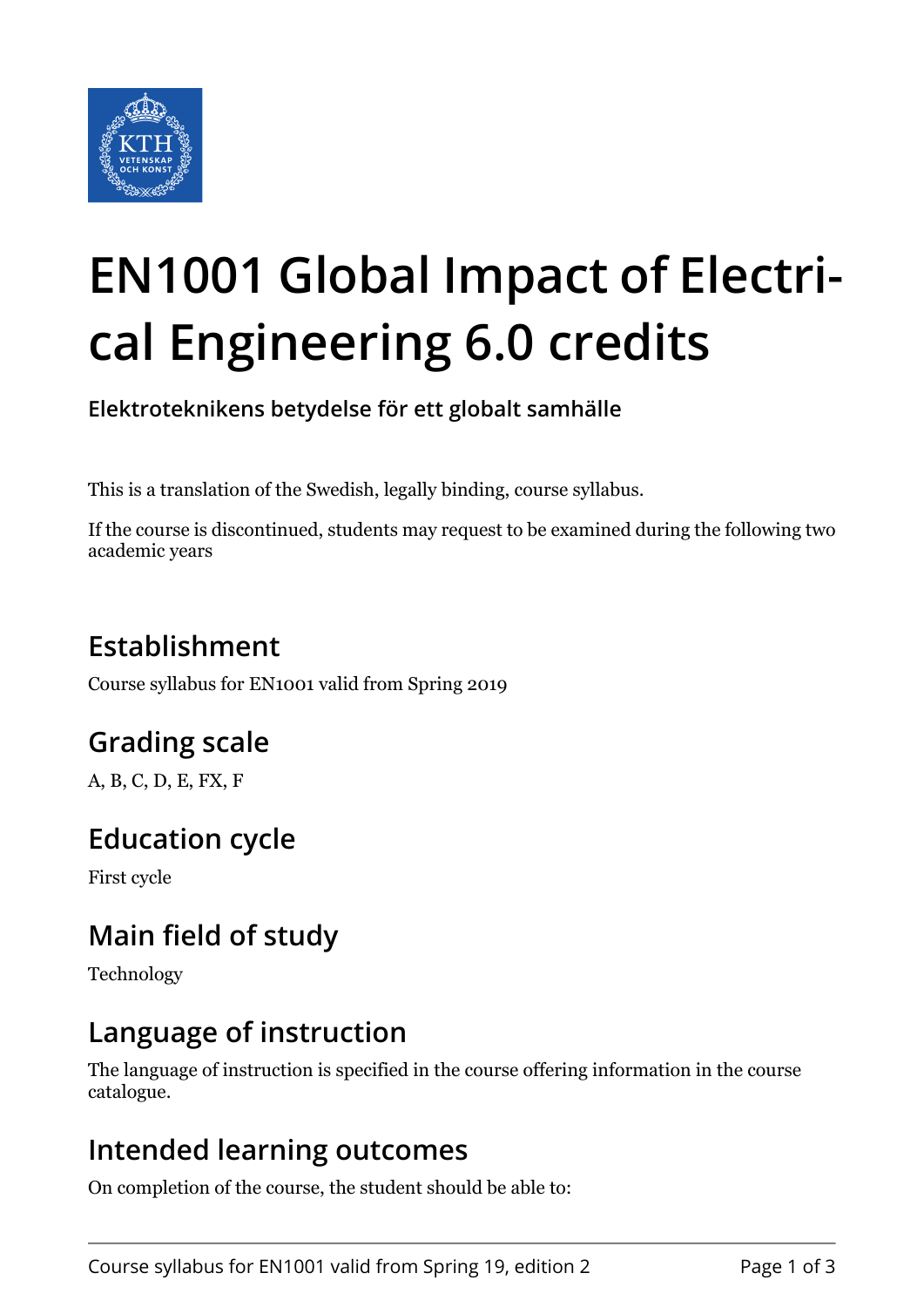

# **EN1001 Global Impact of Electrical Engineering 6.0 credits**

**Elektroteknikens betydelse för ett globalt samhälle**

This is a translation of the Swedish, legally binding, course syllabus.

If the course is discontinued, students may request to be examined during the following two academic years

# **Establishment**

Course syllabus for EN1001 valid from Spring 2019

# **Grading scale**

A, B, C, D, E, FX, F

## **Education cycle**

First cycle

# **Main field of study**

Technology

## **Language of instruction**

The language of instruction is specified in the course offering information in the course catalogue.

#### **Intended learning outcomes**

On completion of the course, the student should be able to: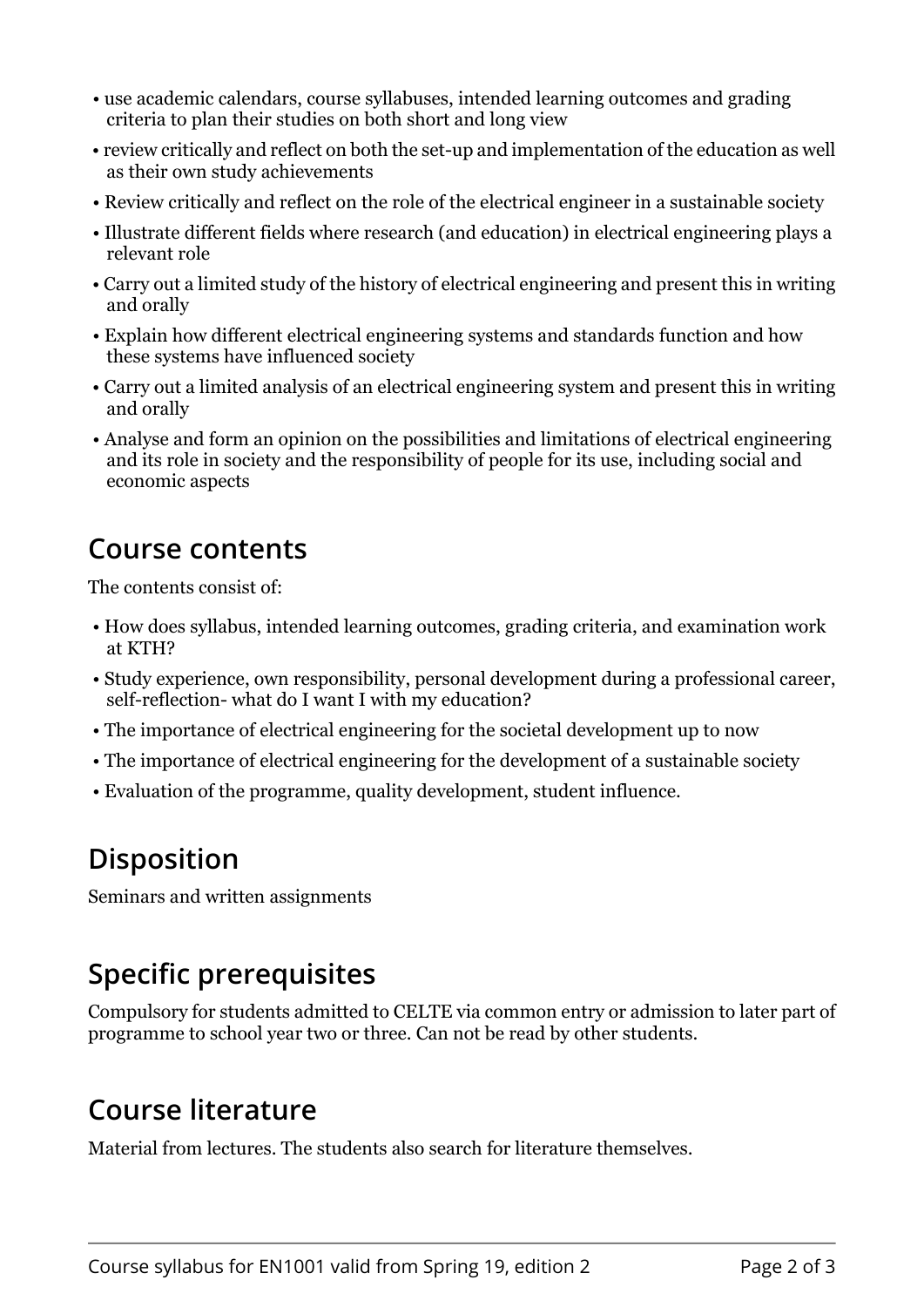- use academic calendars, course syllabuses, intended learning outcomes and grading criteria to plan their studies on both short and long view
- review critically and reflect on both the set-up and implementation of the education as well as their own study achievements
- Review critically and reflect on the role of the electrical engineer in a sustainable society
- Illustrate different fields where research (and education) in electrical engineering plays a relevant role
- Carry out a limited study of the history of electrical engineering and present this in writing and orally
- Explain how different electrical engineering systems and standards function and how these systems have influenced society
- Carry out a limited analysis of an electrical engineering system and present this in writing and orally
- Analyse and form an opinion on the possibilities and limitations of electrical engineering and its role in society and the responsibility of people for its use, including social and economic aspects

#### **Course contents**

The contents consist of:

- How does syllabus, intended learning outcomes, grading criteria, and examination work at KTH?
- Study experience, own responsibility, personal development during a professional career, self-reflection- what do I want I with my education?
- The importance of electrical engineering for the societal development up to now
- The importance of electrical engineering for the development of a sustainable society
- Evaluation of the programme, quality development, student influence.

## **Disposition**

Seminars and written assignments

# **Specific prerequisites**

Compulsory for students admitted to CELTE via common entry or admission to later part of programme to school year two or three. Can not be read by other students.

## **Course literature**

Material from lectures. The students also search for literature themselves.